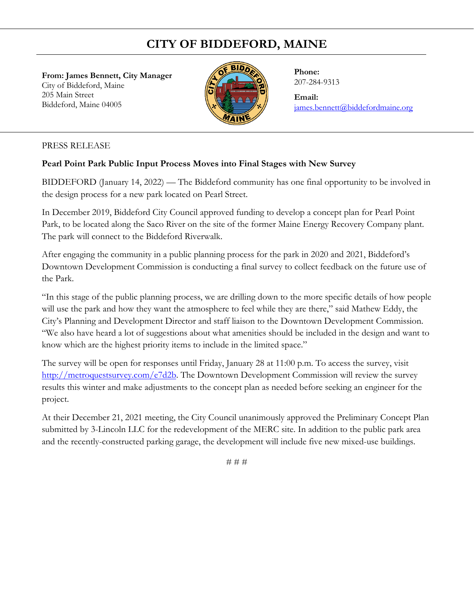## **CITY OF BIDDEFORD, MAINE**

**From: James Bennett, City Manager**  City of Biddeford, Maine 205 Main Street Biddeford, Maine 04005



**Phone:** 207-284-9313

**Email:** [james.bennett@biddefordmaine.org](mailto:james.bennett@biddefordmaine.org)

## PRESS RELEASE

## **Pearl Point Park Public Input Process Moves into Final Stages with New Survey**

BIDDEFORD (January 14, 2022) — The Biddeford community has one final opportunity to be involved in the design process for a new park located on Pearl Street.

In December 2019, Biddeford City Council approved funding to develop a concept plan for Pearl Point Park, to be located along the Saco River on the site of the former Maine Energy Recovery Company plant. The park will connect to the Biddeford Riverwalk.

After engaging the community in a public planning process for the park in 2020 and 2021, Biddeford's Downtown Development Commission is conducting a final survey to collect feedback on the future use of the Park.

"In this stage of the public planning process, we are drilling down to the more specific details of how people will use the park and how they want the atmosphere to feel while they are there," said Mathew Eddy, the City's Planning and Development Director and staff liaison to the Downtown Development Commission. "We also have heard a lot of suggestions about what amenities should be included in the design and want to know which are the highest priority items to include in the limited space."

The survey will be open for responses until Friday, January 28 at 11:00 p.m. To access the survey, visit [http://metroquestsurvey.com/e7d2b.](http://metroquestsurvey.com/e7d2b) The Downtown Development Commission will review the survey results this winter and make adjustments to the concept plan as needed before seeking an engineer for the project.

At their December 21, 2021 meeting, the City Council unanimously approved the Preliminary Concept Plan submitted by 3-Lincoln LLC for the redevelopment of the MERC site. In addition to the public park area and the recently-constructed parking garage, the development will include five new mixed-use buildings.

# # #